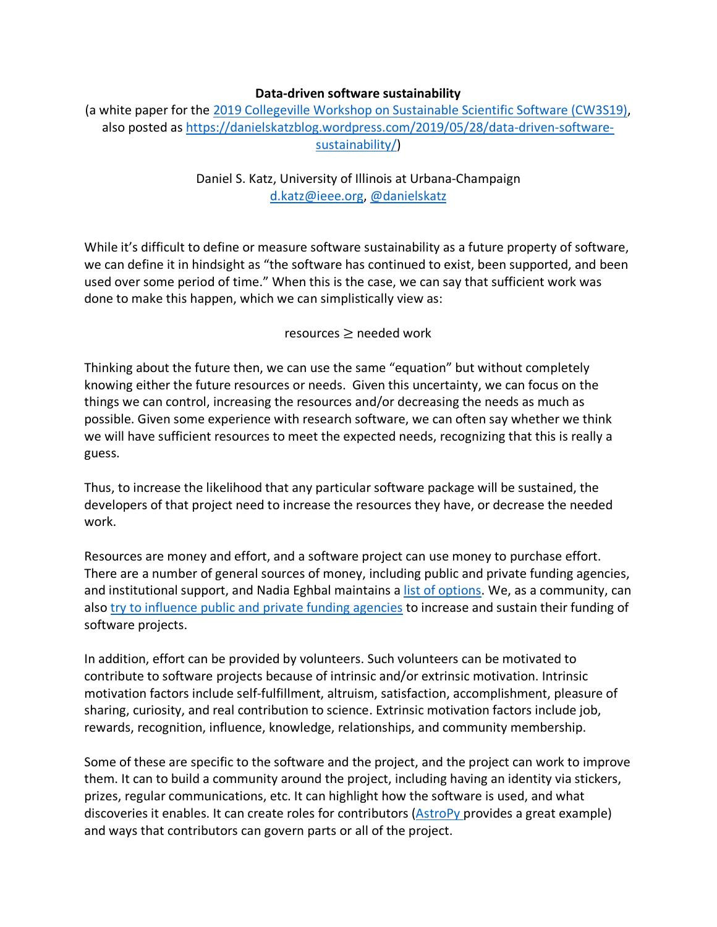## **Data-driven software sustainability**

(a white paper for the 2019 Collegeville Workshop on Sustainable Scientific Software (CW3S19), also posted as https://danielskatzblog.wordpress.com/2019/05/28/data-driven-softwaresustainability/)

## Daniel S. Katz, University of Illinois at Urbana-Champaign d.katz@ieee.org, @danielskatz

While it's difficult to define or measure software sustainability as a future property of software, we can define it in hindsight as "the software has continued to exist, been supported, and been used over some period of time." When this is the case, we can say that sufficient work was done to make this happen, which we can simplistically view as:

## resources ≥ needed work

Thinking about the future then, we can use the same "equation" but without completely knowing either the future resources or needs. Given this uncertainty, we can focus on the things we can control, increasing the resources and/or decreasing the needs as much as possible. Given some experience with research software, we can often say whether we think we will have sufficient resources to meet the expected needs, recognizing that this is really a guess.

Thus, to increase the likelihood that any particular software package will be sustained, the developers of that project need to increase the resources they have, or decrease the needed work.

Resources are money and effort, and a software project can use money to purchase effort. There are a number of general sources of money, including public and private funding agencies, and institutional support, and Nadia Eghbal maintains a list of options. We, as a community, can also try to influence public and private funding agencies to increase and sustain their funding of software projects.

In addition, effort can be provided by volunteers. Such volunteers can be motivated to contribute to software projects because of intrinsic and/or extrinsic motivation. Intrinsic motivation factors include self-fulfillment, altruism, satisfaction, accomplishment, pleasure of sharing, curiosity, and real contribution to science. Extrinsic motivation factors include job, rewards, recognition, influence, knowledge, relationships, and community membership.

Some of these are specific to the software and the project, and the project can work to improve them. It can to build a community around the project, including having an identity via stickers, prizes, regular communications, etc. It can highlight how the software is used, and what discoveries it enables. It can create roles for contributors (AstroPy provides a great example) and ways that contributors can govern parts or all of the project.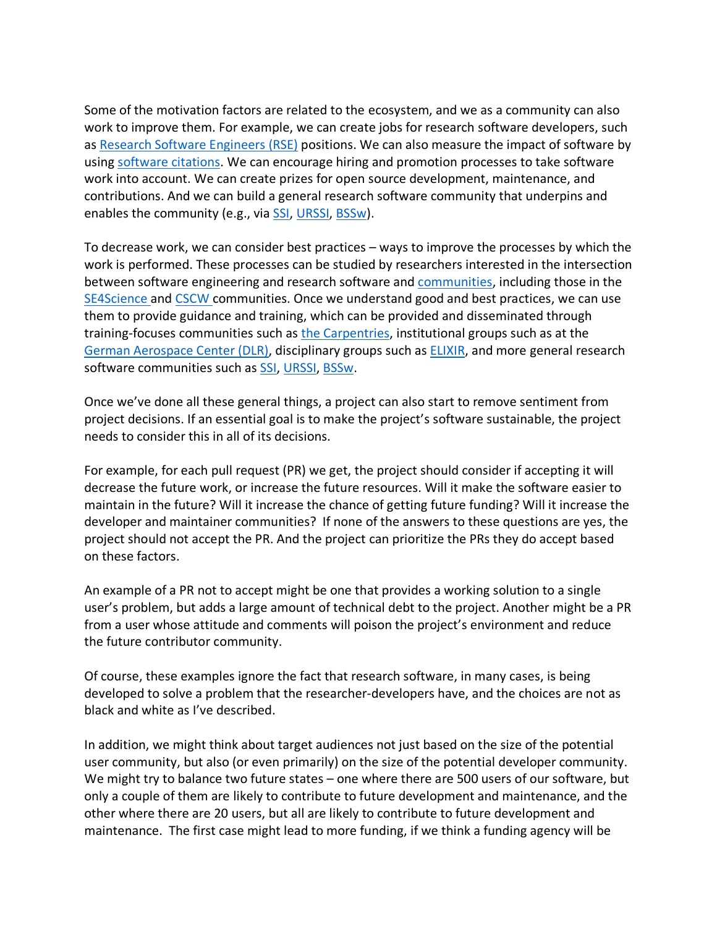Some of the motivation factors are related to the ecosystem, and we as a community can also work to improve them. For example, we can create jobs for research software developers, such as Research Software Engineers (RSE) positions. We can also measure the impact of software by using software citations. We can encourage hiring and promotion processes to take software work into account. We can create prizes for open source development, maintenance, and contributions. And we can build a general research software community that underpins and enables the community (e.g., via SSI, URSSI, BSSw).

To decrease work, we can consider best practices – ways to improve the processes by which the work is performed. These processes can be studied by researchers interested in the intersection between software engineering and research software and communities, including those in the SE4Science and CSCW communities. Once we understand good and best practices, we can use them to provide guidance and training, which can be provided and disseminated through training-focuses communities such as the Carpentries, institutional groups such as at the German Aerospace Center (DLR), disciplinary groups such as ELIXIR, and more general research software communities such as SSI, URSSI, BSSw.

Once we've done all these general things, a project can also start to remove sentiment from project decisions. If an essential goal is to make the project's software sustainable, the project needs to consider this in all of its decisions.

For example, for each pull request (PR) we get, the project should consider if accepting it will decrease the future work, or increase the future resources. Will it make the software easier to maintain in the future? Will it increase the chance of getting future funding? Will it increase the developer and maintainer communities? If none of the answers to these questions are yes, the project should not accept the PR. And the project can prioritize the PRs they do accept based on these factors.

An example of a PR not to accept might be one that provides a working solution to a single user's problem, but adds a large amount of technical debt to the project. Another might be a PR from a user whose attitude and comments will poison the project's environment and reduce the future contributor community.

Of course, these examples ignore the fact that research software, in many cases, is being developed to solve a problem that the researcher-developers have, and the choices are not as black and white as I've described.

In addition, we might think about target audiences not just based on the size of the potential user community, but also (or even primarily) on the size of the potential developer community. We might try to balance two future states – one where there are 500 users of our software, but only a couple of them are likely to contribute to future development and maintenance, and the other where there are 20 users, but all are likely to contribute to future development and maintenance. The first case might lead to more funding, if we think a funding agency will be